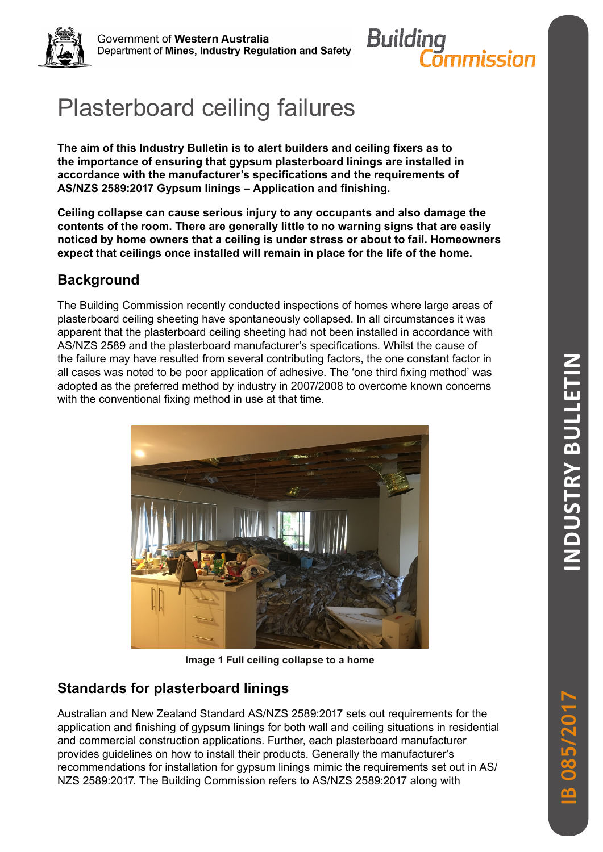

Government of Western Australia Department of Mines, Industry Regulation and Safety



# Plasterboard ceiling failures

**The aim of this Industry Bulletin is to alert builders and ceiling fixers as to the importance of ensuring that gypsum plasterboard linings are installed in accordance with the manufacturer's specifications and the requirements of AS/NZS 2589:2017 Gypsum linings – Application and finishing.**

**Ceiling collapse can cause serious injury to any occupants and also damage the contents of the room. There are generally little to no warning signs that are easily noticed by home owners that a ceiling is under stress or about to fail. Homeowners expect that ceilings once installed will remain in place for the life of the home.**

# **Background**

The Building Commission recently conducted inspections of homes where large areas of plasterboard ceiling sheeting have spontaneously collapsed. In all circumstances it was apparent that the plasterboard ceiling sheeting had not been installed in accordance with AS/NZS 2589 and the plasterboard manufacturer's specifications. Whilst the cause of the failure may have resulted from several contributing factors, the one constant factor in all cases was noted to be poor application of adhesive. The 'one third fixing method' was adopted as the preferred method by industry in 2007/2008 to overcome known concerns with the conventional fixing method in use at that time.



**Image 1 Full ceiling collapse to a home**

# **Standards for plasterboard linings**

Australian and New Zealand Standard AS/NZS 2589:2017 sets out requirements for the application and finishing of gypsum linings for both wall and ceiling situations in residential and commercial construction applications. Further, each plasterboard manufacturer provides guidelines on how to install their products. Generally the manufacturer's recommendations for installation for gypsum linings mimic the requirements set out in AS/ NZS 2589:2017. The Building Commission refers to AS/NZS 2589:2017 along with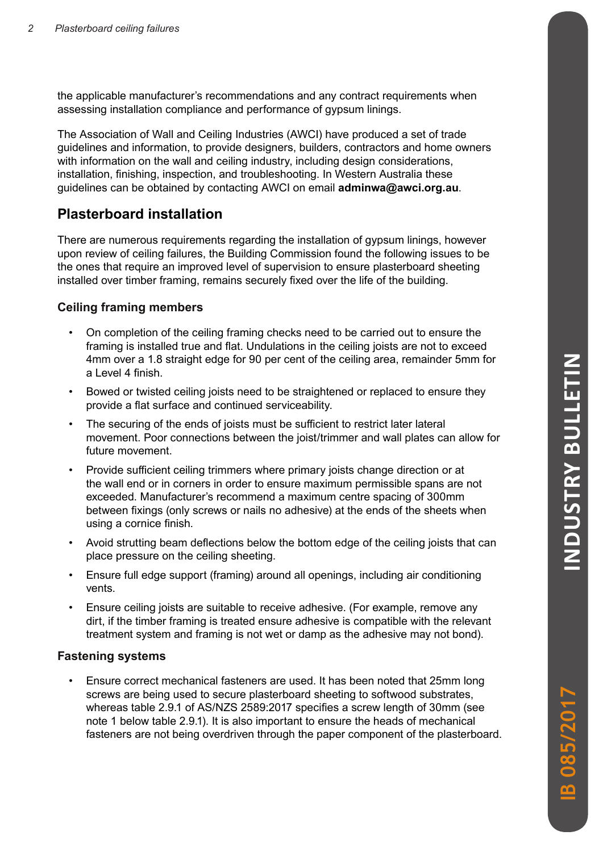the applicable manufacturer's recommendations and any contract requirements when assessing installation compliance and performance of gypsum linings.

The Association of Wall and Ceiling Industries (AWCI) have produced a set of trade guidelines and information, to provide designers, builders, contractors and home owners with information on the wall and ceiling industry, including design considerations, installation, finishing, inspection, and troubleshooting. In Western Australia these guidelines can be obtained by contacting AWCI on email **adminwa@awci.org.au**.

## **Plasterboard installation**

There are numerous requirements regarding the installation of gypsum linings, however upon review of ceiling failures, the Building Commission found the following issues to be the ones that require an improved level of supervision to ensure plasterboard sheeting installed over timber framing, remains securely fixed over the life of the building.

## **Ceiling framing members**

- On completion of the ceiling framing checks need to be carried out to ensure the framing is installed true and flat. Undulations in the ceiling joists are not to exceed 4mm over a 1.8 straight edge for 90 per cent of the ceiling area, remainder 5mm for a Level 4 finish.
- Bowed or twisted ceiling joists need to be straightened or replaced to ensure they provide a flat surface and continued serviceability.
- The securing of the ends of joists must be sufficient to restrict later lateral movement. Poor connections between the joist/trimmer and wall plates can allow for future movement.
- Provide sufficient ceiling trimmers where primary joists change direction or at the wall end or in corners in order to ensure maximum permissible spans are not exceeded. Manufacturer's recommend a maximum centre spacing of 300mm between fixings (only screws or nails no adhesive) at the ends of the sheets when using a cornice finish.
- Avoid strutting beam deflections below the bottom edge of the ceiling joists that can place pressure on the ceiling sheeting.
- Ensure full edge support (framing) around all openings, including air conditioning vents.
- Ensure ceiling joists are suitable to receive adhesive. (For example, remove any dirt, if the timber framing is treated ensure adhesive is compatible with the relevant treatment system and framing is not wet or damp as the adhesive may not bond).

## **Fastening systems**

• Ensure correct mechanical fasteners are used. It has been noted that 25mm long screws are being used to secure plasterboard sheeting to softwood substrates, whereas table 2.9.1 of AS/NZS 2589:2017 specifies a screw length of 30mm (see note 1 below table 2.9.1). It is also important to ensure the heads of mechanical fasteners are not being overdriven through the paper component of the plasterboard.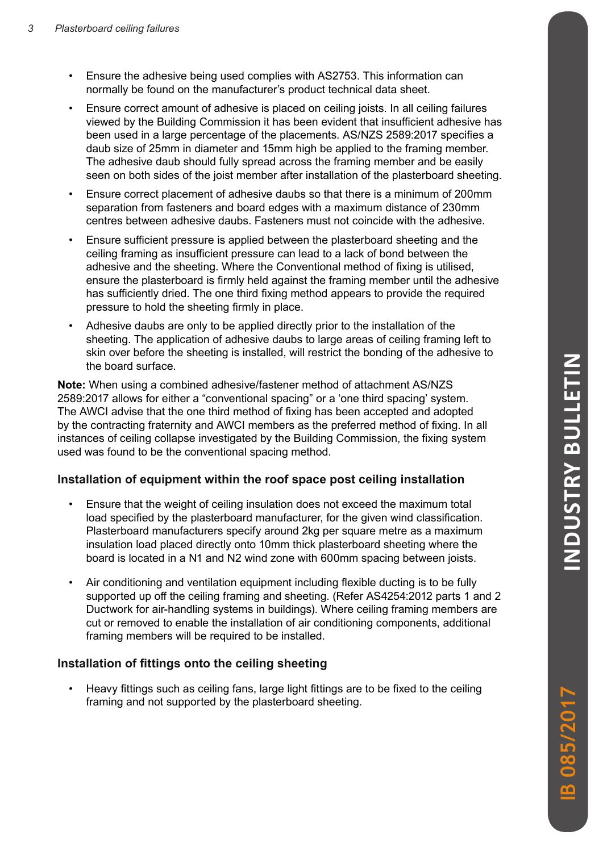- Ensure the adhesive being used complies with AS2753. This information can normally be found on the manufacturer's product technical data sheet.
- Ensure correct amount of adhesive is placed on ceiling joists. In all ceiling failures viewed by the Building Commission it has been evident that insufficient adhesive has been used in a large percentage of the placements. AS/NZS 2589:2017 specifies a daub size of 25mm in diameter and 15mm high be applied to the framing member. The adhesive daub should fully spread across the framing member and be easily seen on both sides of the joist member after installation of the plasterboard sheeting.
- Ensure correct placement of adhesive daubs so that there is a minimum of 200mm separation from fasteners and board edges with a maximum distance of 230mm centres between adhesive daubs. Fasteners must not coincide with the adhesive.
- Ensure sufficient pressure is applied between the plasterboard sheeting and the ceiling framing as insufficient pressure can lead to a lack of bond between the adhesive and the sheeting. Where the Conventional method of fixing is utilised, ensure the plasterboard is firmly held against the framing member until the adhesive has sufficiently dried. The one third fixing method appears to provide the required pressure to hold the sheeting firmly in place.
- Adhesive daubs are only to be applied directly prior to the installation of the sheeting. The application of adhesive daubs to large areas of ceiling framing left to skin over before the sheeting is installed, will restrict the bonding of the adhesive to the board surface.

**Note:** When using a combined adhesive/fastener method of attachment AS/NZS 2589:2017 allows for either a "conventional spacing" or a 'one third spacing' system. The AWCI advise that the one third method of fixing has been accepted and adopted by the contracting fraternity and AWCI members as the preferred method of fixing. In all instances of ceiling collapse investigated by the Building Commission, the fixing system used was found to be the conventional spacing method.

#### **Installation of equipment within the roof space post ceiling installation**

- Ensure that the weight of ceiling insulation does not exceed the maximum total load specified by the plasterboard manufacturer, for the given wind classification. Plasterboard manufacturers specify around 2kg per square metre as a maximum insulation load placed directly onto 10mm thick plasterboard sheeting where the board is located in a N1 and N2 wind zone with 600mm spacing between joists.
- Air conditioning and ventilation equipment including flexible ducting is to be fully supported up off the ceiling framing and sheeting. (Refer AS4254:2012 parts 1 and 2 Ductwork for air-handling systems in buildings). Where ceiling framing members are cut or removed to enable the installation of air conditioning components, additional framing members will be required to be installed.

#### **Installation of fittings onto the ceiling sheeting**

• Heavy fittings such as ceiling fans, large light fittings are to be fixed to the ceiling framing and not supported by the plasterboard sheeting.